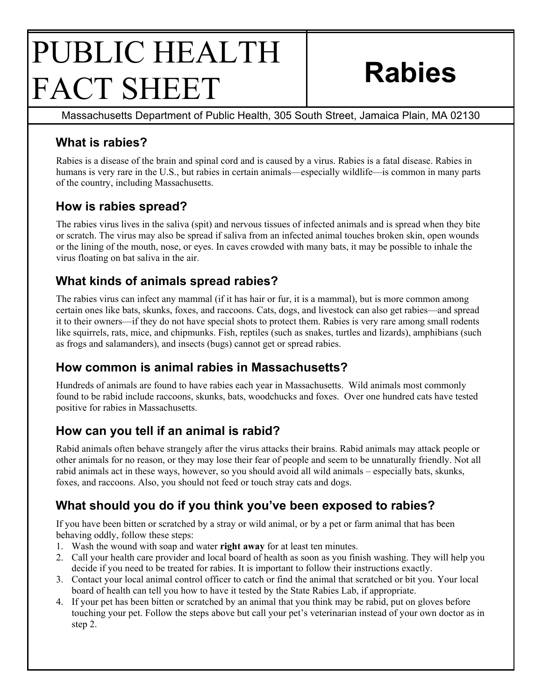# PUBLIC HEALTH FACT SHEET **Rabies**

Massachusetts Department of Public Health, 305 South Street, Jamaica Plain, MA 02130

## **What is rabies?**

Rabies is a disease of the brain and spinal cord and is caused by a virus. Rabies is a fatal disease. Rabies in humans is very rare in the U.S., but rabies in certain animals—especially wildlife—is common in many parts of the country, including Massachusetts.

#### **How is rabies spread?**

The rabies virus lives in the saliva (spit) and nervous tissues of infected animals and is spread when they bite or scratch. The virus may also be spread if saliva from an infected animal touches broken skin, open wounds or the lining of the mouth, nose, or eyes. In caves crowded with many bats, it may be possible to inhale the virus floating on bat saliva in the air.

#### **What kinds of animals spread rabies?**

The rabies virus can infect any mammal (if it has hair or fur, it is a mammal), but is more common among certain ones like bats, skunks, foxes, and raccoons. Cats, dogs, and livestock can also get rabies—and spread it to their owners—if they do not have special shots to protect them. Rabies is very rare among small rodents like squirrels, rats, mice, and chipmunks. Fish, reptiles (such as snakes, turtles and lizards), amphibians (such as frogs and salamanders), and insects (bugs) cannot get or spread rabies.

#### **How common is animal rabies in Massachusetts?**

Hundreds of animals are found to have rabies each year in Massachusetts. Wild animals most commonly found to be rabid include raccoons, skunks, bats, woodchucks and foxes. Over one hundred cats have tested positive for rabies in Massachusetts.

#### **How can you tell if an animal is rabid?**

Rabid animals often behave strangely after the virus attacks their brains. Rabid animals may attack people or other animals for no reason, or they may lose their fear of people and seem to be unnaturally friendly. Not all rabid animals act in these ways, however, so you should avoid all wild animals – especially bats, skunks, foxes, and raccoons. Also, you should not feed or touch stray cats and dogs.

## **What should you do if you think you've been exposed to rabies?**

If you have been bitten or scratched by a stray or wild animal, or by a pet or farm animal that has been behaving oddly, follow these steps:

- 1. Wash the wound with soap and water **right away** for at least ten minutes.
- 2. Call your health care provider and local board of health as soon as you finish washing. They will help you decide if you need to be treated for rabies. It is important to follow their instructions exactly.
- 3. Contact your local animal control officer to catch or find the animal that scratched or bit you. Your local board of health can tell you how to have it tested by the State Rabies Lab, if appropriate.
- 4. If your pet has been bitten or scratched by an animal that you think may be rabid, put on gloves before touching your pet. Follow the steps above but call your pet's veterinarian instead of your own doctor as in step 2.